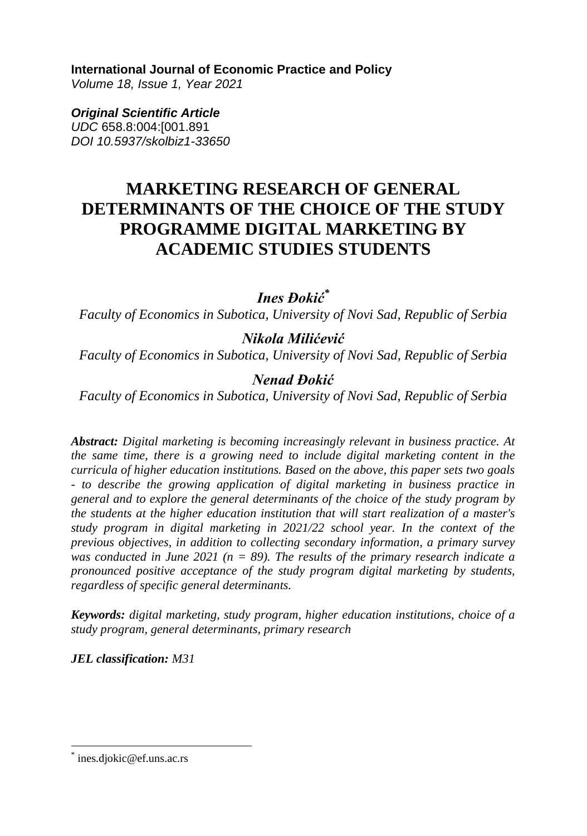**International Journal of Economic Practice and Policy** 

*Volume 18, Issue 1, Year 2021* 

*Original Scientific Article UDC* 658.8:004:[001.891 *DOI 10.5937/skolbiz1-33650*

## **MARKETING RESEARCH OF GENERAL DETERMINANTS OF THE CHOICE OF THE STUDY PROGRAMME DIGITAL MARKETING BY ACADEMIC STUDIES STUDENTS**

*Ines Đokić\**

*Faculty of Economics in Subotica, University of Novi Sad, Republic of Serbia*

## *Nikola Milićević*

*Faculty of Economics in Subotica, University of Novi Sad, Republic of Serbia*

## *Nenad Đokić*

*Faculty of Economics in Subotica, University of Novi Sad, Republic of Serbia*

*Abstract: Digital marketing is becoming increasingly relevant in business practice. At the same time, there is a growing need to include digital marketing content in the curricula of higher education institutions. Based on the above, this paper sets two goals - to describe the growing application of digital marketing in business practice in general and to explore the general determinants of the choice of the study program by the students at the higher education institution that will start realization of a master's study program in digital marketing in 2021/22 school year. In the context of the previous objectives, in addition to collecting secondary information, a primary survey was conducted in June 2021 (n = 89). The results of the primary research indicate a pronounced positive acceptance of the study program digital marketing by students, regardless of specific general determinants.*

*Keywords: digital marketing, study program, higher education institutions, choice of a study program, general determinants, primary research* 

*JEL classification: M31*

 $\overline{\phantom{a}}$ 

<sup>\*</sup> ines.djokic@ef.uns.ac.rs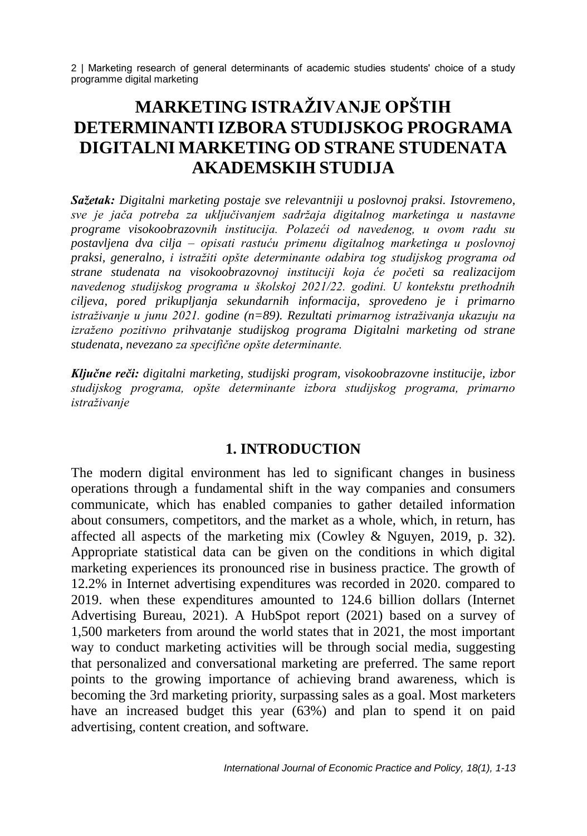# **MARKETING ISTRAŽIVANJE OPŠTIH DETERMINANTI IZBORA STUDIJSKOG PROGRAMA DIGITALNI MARKETING OD STRANE STUDENATA AKADEMSKIH STUDIJA**

*Sažetak: Digitalni marketing postaje sve relevantniji u poslovnoj praksi. Istovremeno, sve je jača potreba za uključivanjem sadržaja digitalnog marketinga u nastavne programe visokoobrazovnih institucija. Polazeći od navedenog, u ovom radu su postavljena dva cilja – opisati rastuću primenu digitalnog marketinga u poslovnoj praksi, generalno, i istražiti opšte determinante odabira tog studijskog programa od strane studenata na visokoobrazovnoj instituciji koja će početi sa realizacijom navedenog studijskog programa u školskoj 2021/22. godini. U kontekstu prethodnih ciljeva, pored prikupljanja sekundarnih informacija, sprovedeno je i primarno istraživanje u junu 2021. godine (n=89). Rezultati primarnog istraživanja ukazuju na izraženo pozitivno prihvatanje studijskog programa Digitalni marketing od strane studenata, nevezano za specifične opšte determinante.*

*Ključne reči: digitalni marketing, studijski program, visokoobrazovne institucije, izbor studijskog programa, opšte determinante izbora studijskog programa, primarno istraživanje*

#### **1. INTRODUCTION**

The modern digital environment has led to significant changes in business operations through a fundamental shift in the way companies and consumers communicate, which has enabled companies to gather detailed information about consumers, competitors, and the market as a whole, which, in return, has affected all aspects of the marketing mix (Cowley & Nguyen, 2019, p. 32). Appropriate statistical data can be given on the conditions in which digital marketing experiences its pronounced rise in business practice. The growth of 12.2% in Internet advertising expenditures was recorded in 2020. compared to 2019. when these expenditures amounted to 124.6 billion dollars (Internet Advertising Bureau, 2021). A HubSpot report (2021) based on a survey of 1,500 marketers from around the world states that in 2021, the most important way to conduct marketing activities will be through social media, suggesting that personalized and conversational marketing are preferred. The same report points to the growing importance of achieving brand awareness, which is becoming the 3rd marketing priority, surpassing sales as a goal. Most marketers have an increased budget this year (63%) and plan to spend it on paid advertising, content creation, and software.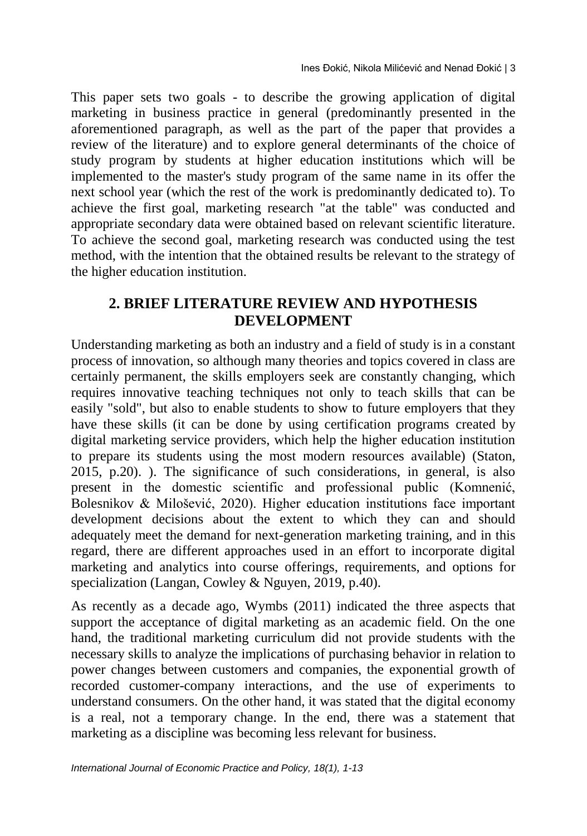This paper sets two goals - to describe the growing application of digital marketing in business practice in general (predominantly presented in the aforementioned paragraph, as well as the part of the paper that provides a review of the literature) and to explore general determinants of the choice of study program by students at higher education institutions which will be implemented to the master's study program of the same name in its offer the next school year (which the rest of the work is predominantly dedicated to). To achieve the first goal, marketing research "at the table" was conducted and appropriate secondary data were obtained based on relevant scientific literature. To achieve the second goal, marketing research was conducted using the test method, with the intention that the obtained results be relevant to the strategy of the higher education institution.

## **2. BRIEF LITERATURE REVIEW AND HYPOTHESIS DEVELOPMENT**

Understanding marketing as both an industry and a field of study is in a constant process of innovation, so although many theories and topics covered in class are certainly permanent, the skills employers seek are constantly changing, which requires innovative teaching techniques not only to teach skills that can be easily "sold", but also to enable students to show to future employers that they have these skills (it can be done by using certification programs created by digital marketing service providers, which help the higher education institution to prepare its students using the most modern resources available) (Staton, 2015, p.20). ). The significance of such considerations, in general, is also present in the domestic scientific and professional public (Komnenić, Bolesnikov & Milošević, 2020). Higher education institutions face important development decisions about the extent to which they can and should adequately meet the demand for next-generation marketing training, and in this regard, there are different approaches used in an effort to incorporate digital marketing and analytics into course offerings, requirements, and options for specialization (Langan, Cowley & Nguyen, 2019, p.40).

As recently as a decade ago, Wymbs (2011) indicated the three aspects that support the acceptance of digital marketing as an academic field. On the one hand, the traditional marketing curriculum did not provide students with the necessary skills to analyze the implications of purchasing behavior in relation to power changes between customers and companies, the exponential growth of recorded customer-company interactions, and the use of experiments to understand consumers. On the other hand, it was stated that the digital economy is a real, not a temporary change. In the end, there was a statement that marketing as a discipline was becoming less relevant for business.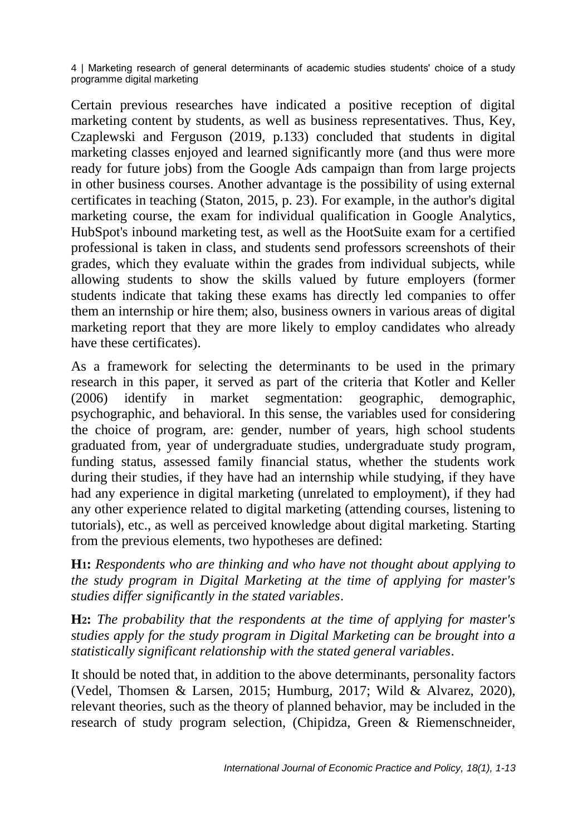Certain previous researches have indicated a positive reception of digital marketing content by students, as well as business representatives. Thus, Key, Czaplewski and Ferguson (2019, p.133) concluded that students in digital marketing classes enjoyed and learned significantly more (and thus were more ready for future jobs) from the Google Ads campaign than from large projects in other business courses. Another advantage is the possibility of using external certificates in teaching (Staton, 2015, p. 23). For example, in the author's digital marketing course, the exam for individual qualification in Google Analytics, HubSpot's inbound marketing test, as well as the HootSuite exam for a certified professional is taken in class, and students send professors screenshots of their grades, which they evaluate within the grades from individual subjects, while allowing students to show the skills valued by future employers (former students indicate that taking these exams has directly led companies to offer them an internship or hire them; also, business owners in various areas of digital marketing report that they are more likely to employ candidates who already have these certificates).

As a framework for selecting the determinants to be used in the primary research in this paper, it served as part of the criteria that Kotler and Keller (2006) identify in market segmentation: geographic, demographic, psychographic, and behavioral. In this sense, the variables used for considering the choice of program, are: gender, number of years, high school students graduated from, year of undergraduate studies, undergraduate study program, funding status, assessed family financial status, whether the students work during their studies, if they have had an internship while studying, if they have had any experience in digital marketing (unrelated to employment), if they had any other experience related to digital marketing (attending courses, listening to tutorials), etc., as well as perceived knowledge about digital marketing. Starting from the previous elements, two hypotheses are defined:

**H1:** *Respondents who are thinking and who have not thought about applying to the study program in Digital Marketing at the time of applying for master's studies differ significantly in the stated variables*.

**H2:** *The probability that the respondents at the time of applying for master's studies apply for the study program in Digital Marketing can be brought into a statistically significant relationship with the stated general variables*.

It should be noted that, in addition to the above determinants, personality factors (Vedel, Thomsen & Larsen, 2015; Humburg, 2017; Wild & Alvarez, 2020), relevant theories, such as the theory of planned behavior, may be included in the research of study program selection, (Chipidza, Green & Riemenschneider,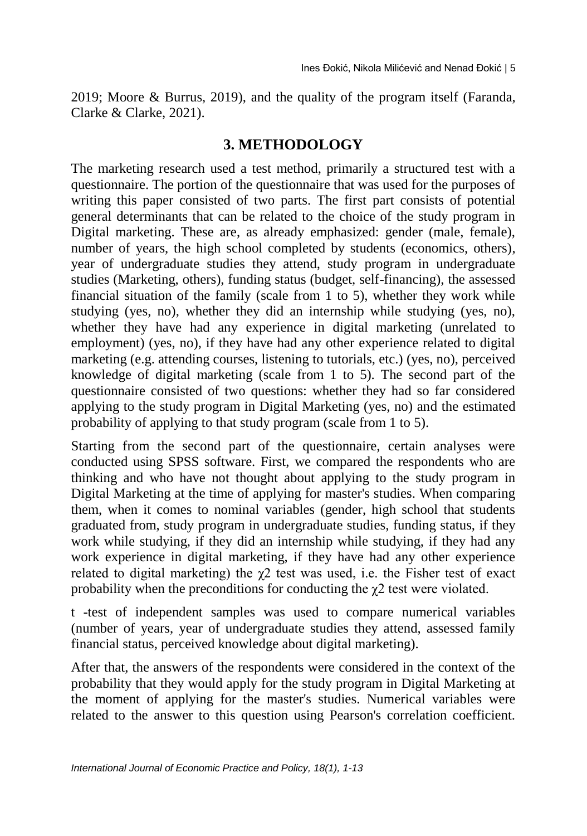2019; Moore & Burrus, 2019), and the quality of the program itself (Faranda, Clarke & Clarke, 2021).

#### **3. METHODOLOGY**

The marketing research used a test method, primarily a structured test with a questionnaire. The portion of the questionnaire that was used for the purposes of writing this paper consisted of two parts. The first part consists of potential general determinants that can be related to the choice of the study program in Digital marketing. These are, as already emphasized: gender (male, female), number of years, the high school completed by students (economics, others), year of undergraduate studies they attend, study program in undergraduate studies (Marketing, others), funding status (budget, self-financing), the assessed financial situation of the family (scale from 1 to 5), whether they work while studying (yes, no), whether they did an internship while studying (yes, no), whether they have had any experience in digital marketing (unrelated to employment) (yes, no), if they have had any other experience related to digital marketing (e.g. attending courses, listening to tutorials, etc.) (yes, no), perceived knowledge of digital marketing (scale from 1 to 5). The second part of the questionnaire consisted of two questions: whether they had so far considered applying to the study program in Digital Marketing (yes, no) and the estimated probability of applying to that study program (scale from 1 to 5).

Starting from the second part of the questionnaire, certain analyses were conducted using SPSS software. First, we compared the respondents who are thinking and who have not thought about applying to the study program in Digital Marketing at the time of applying for master's studies. When comparing them, when it comes to nominal variables (gender, high school that students graduated from, study program in undergraduate studies, funding status, if they work while studying, if they did an internship while studying, if they had any work experience in digital marketing, if they have had any other experience related to digital marketing) the  $\gamma$ 2 test was used, i.e. the Fisher test of exact probability when the preconditions for conducting the  $\gamma$ 2 test were violated.

t -test of independent samples was used to compare numerical variables (number of years, year of undergraduate studies they attend, assessed family financial status, perceived knowledge about digital marketing).

After that, the answers of the respondents were considered in the context of the probability that they would apply for the study program in Digital Marketing at the moment of applying for the master's studies. Numerical variables were related to the answer to this question using Pearson's correlation coefficient.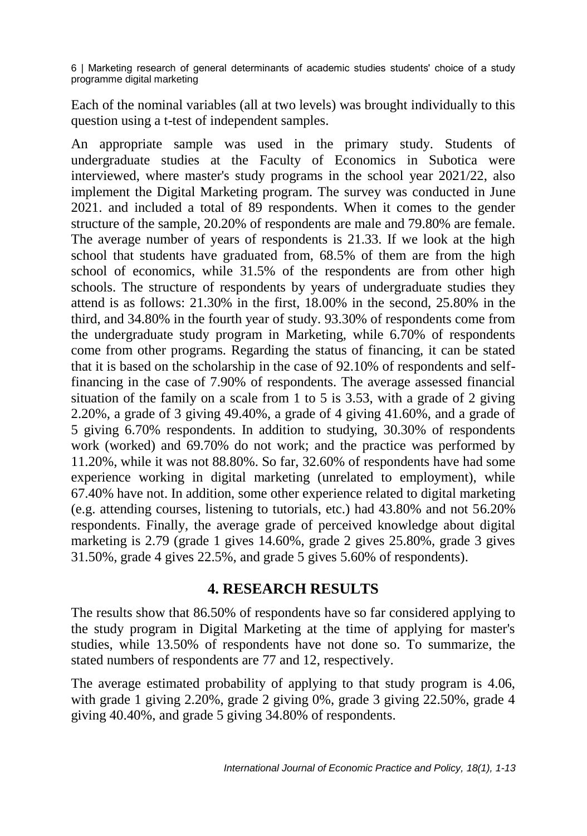Each of the nominal variables (all at two levels) was brought individually to this question using a t-test of independent samples.

An appropriate sample was used in the primary study. Students of undergraduate studies at the Faculty of Economics in Subotica were interviewed, where master's study programs in the school year 2021/22, also implement the Digital Marketing program. The survey was conducted in June 2021. and included a total of 89 respondents. When it comes to the gender structure of the sample, 20.20% of respondents are male and 79.80% are female. The average number of years of respondents is 21.33. If we look at the high school that students have graduated from, 68.5% of them are from the high school of economics, while 31.5% of the respondents are from other high schools. The structure of respondents by years of undergraduate studies they attend is as follows: 21.30% in the first, 18.00% in the second, 25.80% in the third, and 34.80% in the fourth year of study. 93.30% of respondents come from the undergraduate study program in Marketing, while 6.70% of respondents come from other programs. Regarding the status of financing, it can be stated that it is based on the scholarship in the case of 92.10% of respondents and selffinancing in the case of 7.90% of respondents. The average assessed financial situation of the family on a scale from 1 to 5 is 3.53, with a grade of 2 giving 2.20%, a grade of 3 giving 49.40%, a grade of 4 giving 41.60%, and a grade of 5 giving 6.70% respondents. In addition to studying, 30.30% of respondents work (worked) and 69.70% do not work; and the practice was performed by 11.20%, while it was not 88.80%. So far, 32.60% of respondents have had some experience working in digital marketing (unrelated to employment), while 67.40% have not. In addition, some other experience related to digital marketing (e.g. attending courses, listening to tutorials, etc.) had 43.80% and not 56.20% respondents. Finally, the average grade of perceived knowledge about digital marketing is 2.79 (grade 1 gives 14.60%, grade 2 gives 25.80%, grade 3 gives 31.50%, grade 4 gives 22.5%, and grade 5 gives 5.60% of respondents).

## **4. RESEARCH RESULTS**

The results show that 86.50% of respondents have so far considered applying to the study program in Digital Marketing at the time of applying for master's studies, while 13.50% of respondents have not done so. To summarize, the stated numbers of respondents are 77 and 12, respectively.

The average estimated probability of applying to that study program is 4.06, with grade 1 giving 2.20%, grade 2 giving 0%, grade 3 giving 22.50%, grade 4 giving 40.40%, and grade 5 giving 34.80% of respondents.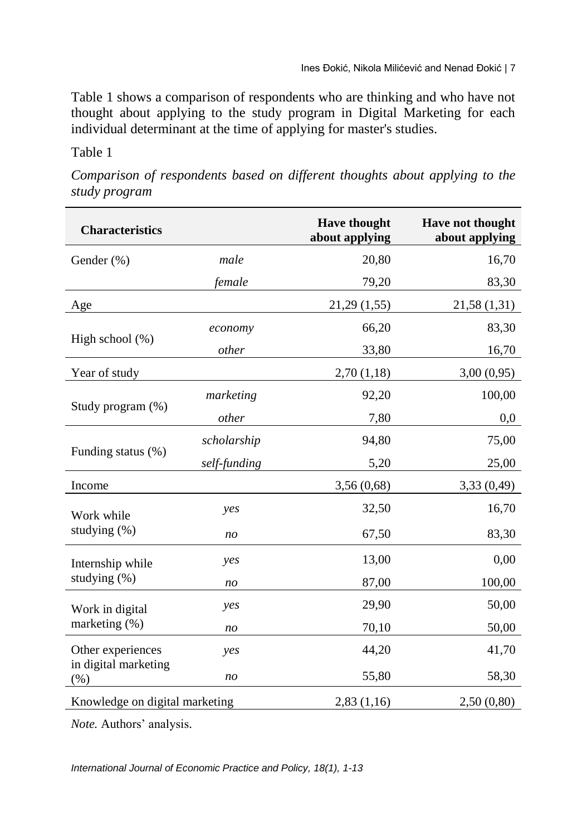Table 1 shows a comparison of respondents who are thinking and who have not thought about applying to the study program in Digital Marketing for each individual determinant at the time of applying for master's studies.

#### Table 1

*Comparison of respondents based on different thoughts about applying to the study program*

| <b>Characteristics</b>                            |                | <b>Have thought</b><br>about applying | Have not thought<br>about applying |
|---------------------------------------------------|----------------|---------------------------------------|------------------------------------|
| Gender (%)                                        | male           | 20,80                                 | 16,70                              |
|                                                   | female         | 79,20                                 | 83,30                              |
| Age                                               |                | 21,29(1,55)                           | 21,58 (1,31)                       |
| High school $(\%)$                                | economy        | 66,20                                 | 83,30                              |
|                                                   | other          | 33,80                                 | 16,70                              |
| Year of study                                     |                | 2,70(1,18)                            | 3,00(0,95)                         |
| Study program (%)                                 | marketing      | 92,20                                 | 100,00                             |
|                                                   | other          | 7,80                                  | 0,0                                |
| Funding status (%)                                | scholarship    | 94,80                                 | 75,00                              |
|                                                   | self-funding   | 5,20                                  | 25,00                              |
| Income                                            |                | 3,56(0,68)                            | 3,33 (0,49)                        |
| Work while<br>studying (%)                        | yes            | 32,50                                 | 16,70                              |
|                                                   | n <sub>O</sub> | 67,50                                 | 83,30                              |
| Internship while<br>studying $(\%)$               | yes            | 13,00                                 | 0,00                               |
|                                                   | no             | 87,00                                 | 100,00                             |
| Work in digital<br>marketing $(\%)$               | yes            | 29,90                                 | 50,00                              |
|                                                   | n <sub>O</sub> | 70,10                                 | 50,00                              |
| Other experiences<br>in digital marketing<br>(% ) | yes            | 44,20                                 | 41,70                              |
|                                                   | no             | 55,80                                 | 58,30                              |
| Knowledge on digital marketing                    |                | 2,83(1,16)                            | 2,50(0,80)                         |

*Note.* Authors' analysis.

*International Journal of Economic Practice and Policy, 18(1), 1-13*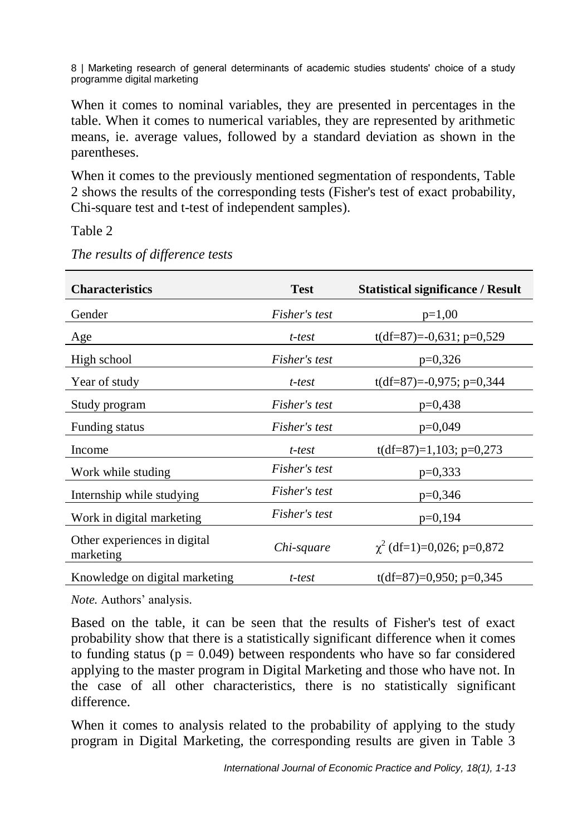When it comes to nominal variables, they are presented in percentages in the table. When it comes to numerical variables, they are represented by arithmetic means, ie. average values, followed by a standard deviation as shown in the parentheses.

When it comes to the previously mentioned segmentation of respondents, Table 2 shows the results of the corresponding tests (Fisher's test of exact probability, Chi-square test and t-test of independent samples).

Table 2

| <b>Characteristics</b>                    | <b>Test</b>   | <b>Statistical significance / Result</b> |
|-------------------------------------------|---------------|------------------------------------------|
| Gender                                    | Fisher's test | $p=1,00$                                 |
| Age                                       | t-test        | t(df=87)=-0,631; p=0,529                 |
| High school                               | Fisher's test | $p=0,326$                                |
| Year of study                             | t-test        | $t(df=87)=-0,975; p=0,344$               |
| Study program                             | Fisher's test | $p=0,438$                                |
| Funding status                            | Fisher's test | $p=0,049$                                |
| Income                                    | t-test        | $t(df=87)=1,103; p=0,273$                |
| Work while studing                        | Fisher's test | $p=0,333$                                |
| Internship while studying                 | Fisher's test | $p=0,346$                                |
| Work in digital marketing                 | Fisher's test | $p=0,194$                                |
| Other experiences in digital<br>marketing | Chi-square    | $\chi^2$ (df=1)=0,026; p=0,872           |
| Knowledge on digital marketing            | t-test        | t(df=87)=0,950; p=0,345                  |

*The results of difference tests*

*Note.* Authors' analysis.

Based on the table, it can be seen that the results of Fisher's test of exact probability show that there is a statistically significant difference when it comes to funding status ( $p = 0.049$ ) between respondents who have so far considered applying to the master program in Digital Marketing and those who have not. In the case of all other characteristics, there is no statistically significant difference.

When it comes to analysis related to the probability of applying to the study program in Digital Marketing, the corresponding results are given in Table 3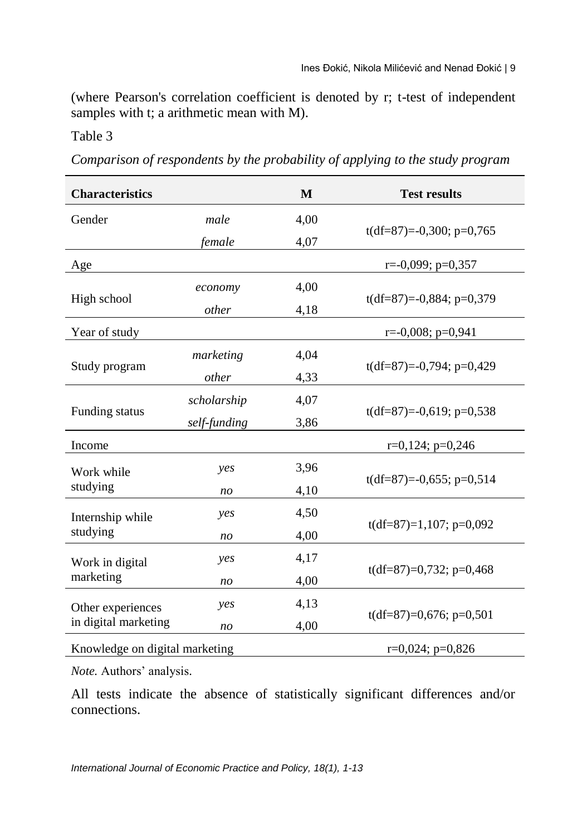(where Pearson's correlation coefficient is denoted by r; t-test of independent samples with t; a arithmetic mean with M).

Table 3

*Comparison of respondents by the probability of applying to the study program*

| <b>Characteristics</b>                    |                | M                     | <b>Test results</b>         |
|-------------------------------------------|----------------|-----------------------|-----------------------------|
| Gender                                    | male           | 4,00                  |                             |
|                                           | female         | 4,07                  | $t(df=87)=-0,300; p=0,765$  |
| Age                                       |                |                       | $r = -0.099$ ; $p = 0.357$  |
| High school                               | economy        | 4,00                  | t(df=87)=-0,884; p=0,379    |
|                                           | other          | 4,18                  |                             |
| Year of study                             |                |                       | $r = -0.008$ ; $p = 0.941$  |
| Study program                             | marketing      | 4,04                  | $t(df=87)=-0,794$ ; p=0,429 |
|                                           | other          | 4,33                  |                             |
| Funding status                            | scholarship    | 4,07                  |                             |
|                                           | self-funding   | 3,86                  | $t(df=87)=-0,619; p=0,538$  |
| Income                                    |                |                       | $r=0,124$ ; $p=0,246$       |
| Work while<br>studying                    | yes            | 3,96                  | $t(df=87)=-0,655; p=0,514$  |
|                                           | n <sub>O</sub> | 4,10                  |                             |
| Internship while<br>studying              | yes            | 4,50                  |                             |
|                                           | n <sub>O</sub> | 4,00                  | $t(df=87)=1,107; p=0,092$   |
| Work in digital<br>marketing              | yes            | 4,17                  | $t(df=87)=0,732; p=0,468$   |
|                                           | n <sub>O</sub> | 4,00                  |                             |
| Other experiences<br>in digital marketing | yes            | 4,13                  |                             |
|                                           | no             | 4,00                  | $t(df=87)=0,676; p=0,501$   |
| Knowledge on digital marketing            |                | $r=0,024$ ; $p=0,826$ |                             |

*Note.* Authors' analysis.

All tests indicate the absence of statistically significant differences and/or connections.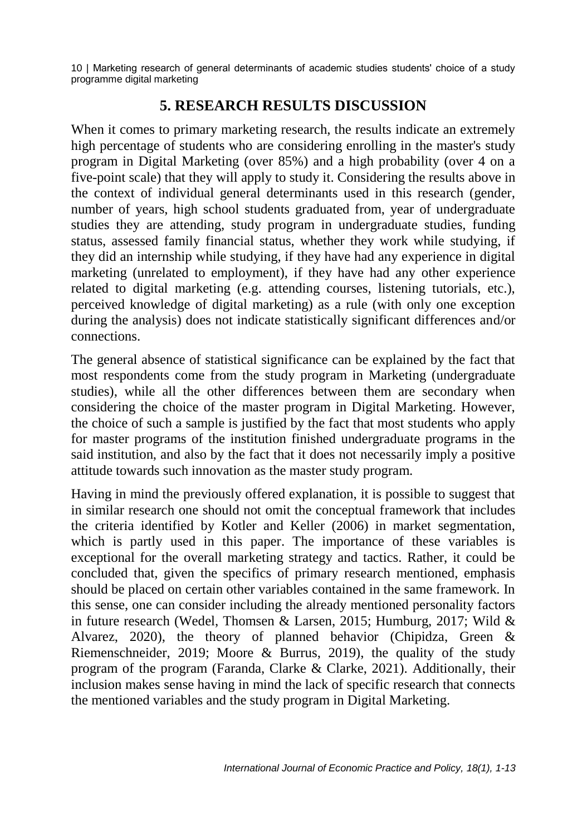## **5. RESEARCH RESULTS DISCUSSION**

When it comes to primary marketing research, the results indicate an extremely high percentage of students who are considering enrolling in the master's study program in Digital Marketing (over 85%) and a high probability (over 4 on a five-point scale) that they will apply to study it. Considering the results above in the context of individual general determinants used in this research (gender, number of years, high school students graduated from, year of undergraduate studies they are attending, study program in undergraduate studies, funding status, assessed family financial status, whether they work while studying, if they did an internship while studying, if they have had any experience in digital marketing (unrelated to employment), if they have had any other experience related to digital marketing (e.g. attending courses, listening tutorials, etc.), perceived knowledge of digital marketing) as a rule (with only one exception during the analysis) does not indicate statistically significant differences and/or connections.

The general absence of statistical significance can be explained by the fact that most respondents come from the study program in Marketing (undergraduate studies), while all the other differences between them are secondary when considering the choice of the master program in Digital Marketing. However, the choice of such a sample is justified by the fact that most students who apply for master programs of the institution finished undergraduate programs in the said institution, and also by the fact that it does not necessarily imply a positive attitude towards such innovation as the master study program.

Having in mind the previously offered explanation, it is possible to suggest that in similar research one should not omit the conceptual framework that includes the criteria identified by Kotler and Keller (2006) in market segmentation, which is partly used in this paper. The importance of these variables is exceptional for the overall marketing strategy and tactics. Rather, it could be concluded that, given the specifics of primary research mentioned, emphasis should be placed on certain other variables contained in the same framework. In this sense, one can consider including the already mentioned personality factors in future research (Wedel, Thomsen & Larsen, 2015; Humburg, 2017; Wild & Alvarez, 2020), the theory of planned behavior (Chipidza, Green & Riemenschneider, 2019; Moore & Burrus, 2019), the quality of the study program of the program (Faranda, Clarke & Clarke, 2021). Additionally, their inclusion makes sense having in mind the lack of specific research that connects the mentioned variables and the study program in Digital Marketing.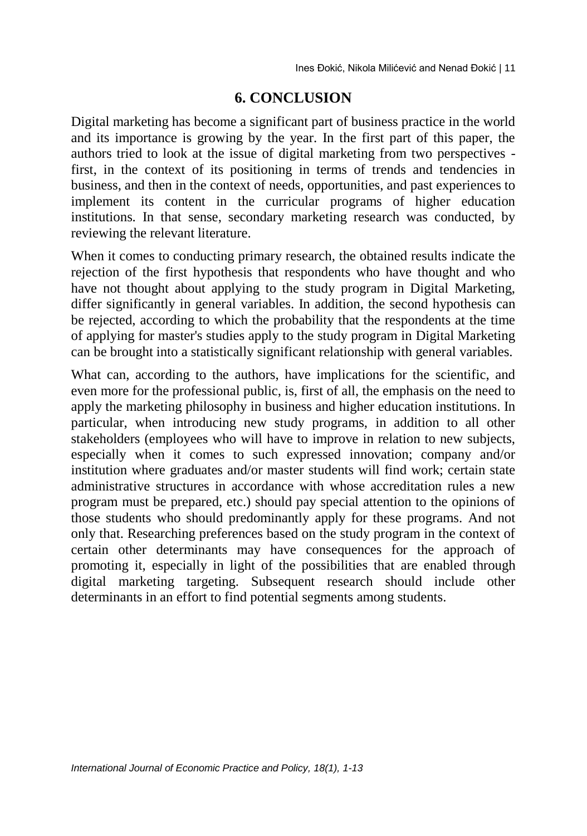#### **6. CONCLUSION**

Digital marketing has become a significant part of business practice in the world and its importance is growing by the year. In the first part of this paper, the authors tried to look at the issue of digital marketing from two perspectives first, in the context of its positioning in terms of trends and tendencies in business, and then in the context of needs, opportunities, and past experiences to implement its content in the curricular programs of higher education institutions. In that sense, secondary marketing research was conducted, by reviewing the relevant literature.

When it comes to conducting primary research, the obtained results indicate the rejection of the first hypothesis that respondents who have thought and who have not thought about applying to the study program in Digital Marketing, differ significantly in general variables. In addition, the second hypothesis can be rejected, according to which the probability that the respondents at the time of applying for master's studies apply to the study program in Digital Marketing can be brought into a statistically significant relationship with general variables.

What can, according to the authors, have implications for the scientific, and even more for the professional public, is, first of all, the emphasis on the need to apply the marketing philosophy in business and higher education institutions. In particular, when introducing new study programs, in addition to all other stakeholders (employees who will have to improve in relation to new subjects, especially when it comes to such expressed innovation; company and/or institution where graduates and/or master students will find work; certain state administrative structures in accordance with whose accreditation rules a new program must be prepared, etc.) should pay special attention to the opinions of those students who should predominantly apply for these programs. And not only that. Researching preferences based on the study program in the context of certain other determinants may have consequences for the approach of promoting it, especially in light of the possibilities that are enabled through digital marketing targeting. Subsequent research should include other determinants in an effort to find potential segments among students.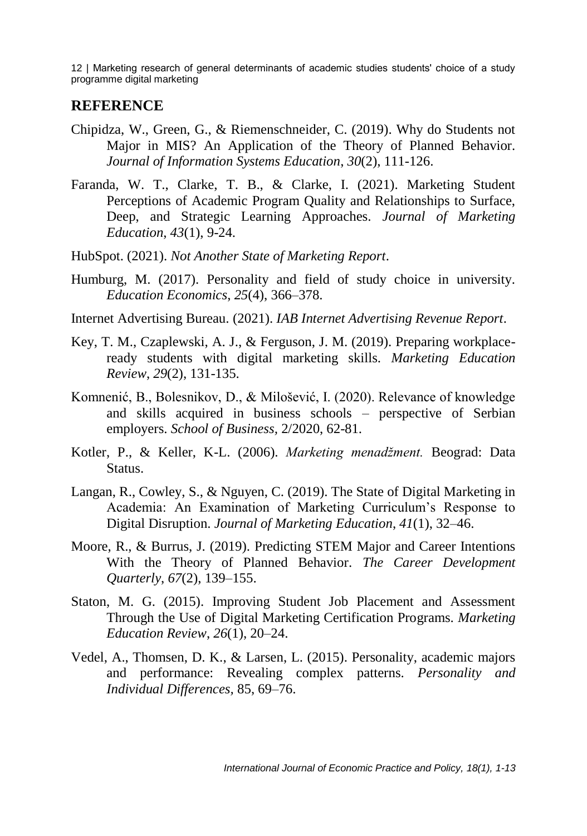#### **REFERENCE**

- Chipidza, W., Green, G., & Riemenschneider, C. (2019). Why do Students not Major in MIS? An Application of the Theory of Planned Behavior. *Journal of Information Systems Education*, *30*(2), 111-126.
- Faranda, W. T., Clarke, T. B., & Clarke, I. (2021). Marketing Student Perceptions of Academic Program Quality and Relationships to Surface, Deep, and Strategic Learning Approaches. *Journal of Marketing Education*, *43*(1), 9-24.
- HubSpot. (2021). *Not Another State of Marketing Report*.
- Humburg, M. (2017). Personality and field of study choice in university. *Education Economics*, *25*(4), 366–378.
- Internet Advertising Bureau. (2021). *IAB Internet Advertising Revenue Report*.
- Key, T. M., Czaplewski, A. J., & Ferguson, J. M. (2019). Preparing workplaceready students with digital marketing skills. *Marketing Education Review*, *29*(2), 131-135.
- Komnenić, B., Bolesnikov, D., & Milošević, I. (2020). Relevance of knowledge and skills acquired in business schools – perspective of Serbian employers. *School of Business,* 2/2020, 62-81.
- Kotler, P., & Keller, K-L. (2006). *Marketing menadžment.* Beograd: Data Status.
- Langan, R., Cowley, S., & Nguyen, C. (2019). The State of Digital Marketing in Academia: An Examination of Marketing Curriculum's Response to Digital Disruption. *Journal of Marketing Education*, *41*(1), 32–46.
- Moore, R., & Burrus, J. (2019). Predicting STEM Major and Career Intentions With the Theory of Planned Behavior. *The Career Development Quarterly*, *67*(2), 139–155.
- Staton, M. G. (2015). Improving Student Job Placement and Assessment Through the Use of Digital Marketing Certification Programs. *Marketing Education Review*, *26*(1), 20–24.
- Vedel, A., Thomsen, D. K., & Larsen, L. (2015). Personality, academic majors and performance: Revealing complex patterns. *Personality and Individual Differences,* 85, 69–76.